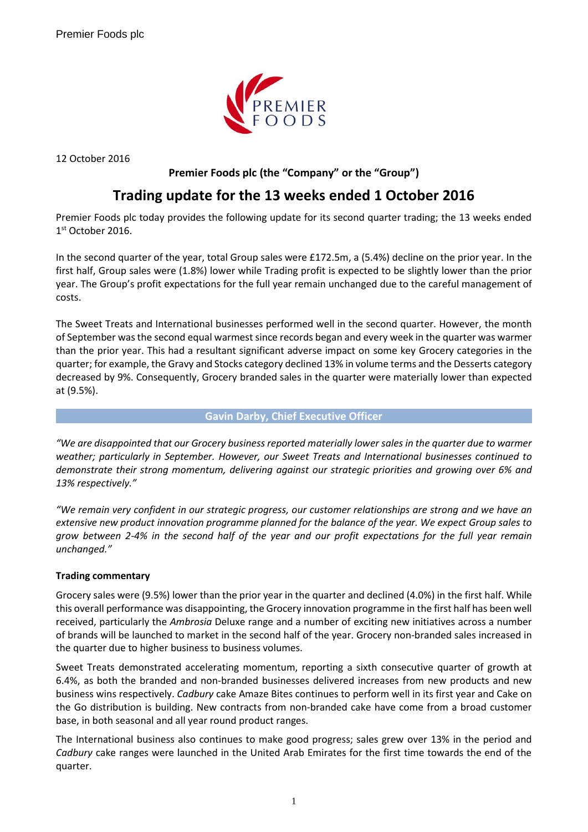

12 October 2016

## **Premier Foods plc (the "Company" or the "Group")**

# **Trading update for the 13 weeks ended 1 October 2016**

Premier Foods plc today provides the following update for its second quarter trading; the 13 weeks ended 1 st October 2016.

In the second quarter of the year, total Group sales were £172.5m, a (5.4%) decline on the prior year. In the first half, Group sales were (1.8%) lower while Trading profit is expected to be slightly lower than the prior year. The Group's profit expectations for the full year remain unchanged due to the careful management of costs.

The Sweet Treats and International businesses performed well in the second quarter. However, the month of September was the second equal warmest since records began and every week in the quarter was warmer than the prior year. This had a resultant significant adverse impact on some key Grocery categories in the quarter; for example, the Gravy and Stocks category declined 13% in volume terms and the Desserts category decreased by 9%. Consequently, Grocery branded sales in the quarter were materially lower than expected at (9.5%).

#### **Gavin Darby, Chief Executive Officer**

*"We are disappointed that our Grocery business reported materially lower sales in the quarter due to warmer weather; particularly in September. However, our Sweet Treats and International businesses continued to demonstrate their strong momentum, delivering against our strategic priorities and growing over 6% and 13% respectively."*

*"We remain very confident in our strategic progress, our customer relationships are strong and we have an extensive new product innovation programme planned for the balance of the year. We expect Group sales to grow between 2-4% in the second half of the year and our profit expectations for the full year remain unchanged."*

### **Trading commentary**

Grocery sales were (9.5%) lower than the prior year in the quarter and declined (4.0%) in the first half. While this overall performance was disappointing, the Grocery innovation programme in the first half has been well received, particularly the *Ambrosia* Deluxe range and a number of exciting new initiatives across a number of brands will be launched to market in the second half of the year. Grocery non-branded sales increased in the quarter due to higher business to business volumes.

Sweet Treats demonstrated accelerating momentum, reporting a sixth consecutive quarter of growth at 6.4%, as both the branded and non-branded businesses delivered increases from new products and new business wins respectively. *Cadbury* cake Amaze Bites continues to perform well in its first year and Cake on the Go distribution is building. New contracts from non-branded cake have come from a broad customer base, in both seasonal and all year round product ranges.

The International business also continues to make good progress; sales grew over 13% in the period and *Cadbury* cake ranges were launched in the United Arab Emirates for the first time towards the end of the quarter.